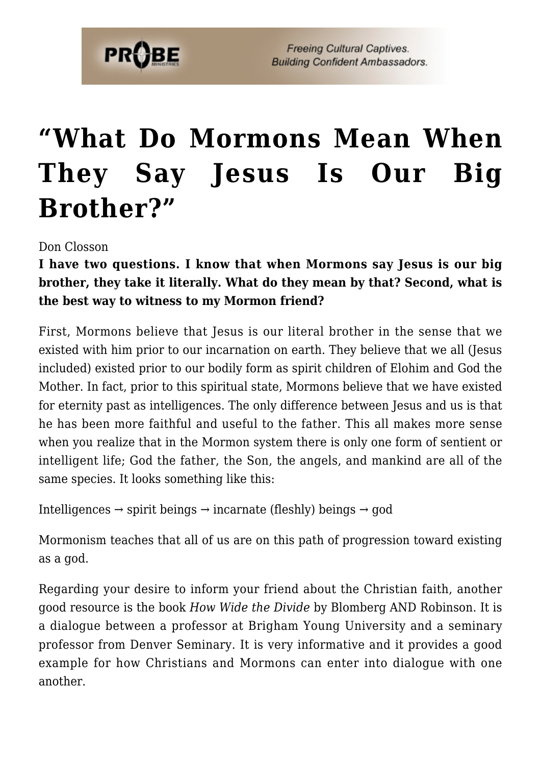

**Freeing Cultural Captives. Building Confident Ambassadors.** 

## **["What Do Mormons Mean When](https://probe.org/what-do-mormons-mean-when-they-say-jesus-is-our-big-brother/) [They Say Jesus Is Our Big](https://probe.org/what-do-mormons-mean-when-they-say-jesus-is-our-big-brother/) [Brother?"](https://probe.org/what-do-mormons-mean-when-they-say-jesus-is-our-big-brother/)**

Don Closson

**I have two questions. I know that when Mormons say Jesus is our big brother, they take it literally. What do they mean by that? Second, what is the best way to witness to my Mormon friend?**

First, Mormons believe that Jesus is our literal brother in the sense that we existed with him prior to our incarnation on earth. They believe that we all (Jesus included) existed prior to our bodily form as spirit children of Elohim and God the Mother. In fact, prior to this spiritual state, Mormons believe that we have existed for eternity past as intelligences. The only difference between Jesus and us is that he has been more faithful and useful to the father. This all makes more sense when you realize that in the Mormon system there is only one form of sentient or intelligent life; God the father, the Son, the angels, and mankind are all of the same species. It looks something like this:

Intelligences  $\rightarrow$  spirit beings  $\rightarrow$  incarnate (fleshly) beings  $\rightarrow$  god

Mormonism teaches that all of us are on this path of progression toward existing as a god.

Regarding your desire to inform your friend about the Christian faith, another good resource is the book *How Wide the Divide* by Blomberg AND Robinson. It is a dialogue between a professor at Brigham Young University and a seminary professor from Denver Seminary. It is very informative and it provides a good example for how Christians and Mormons can enter into dialogue with one another.